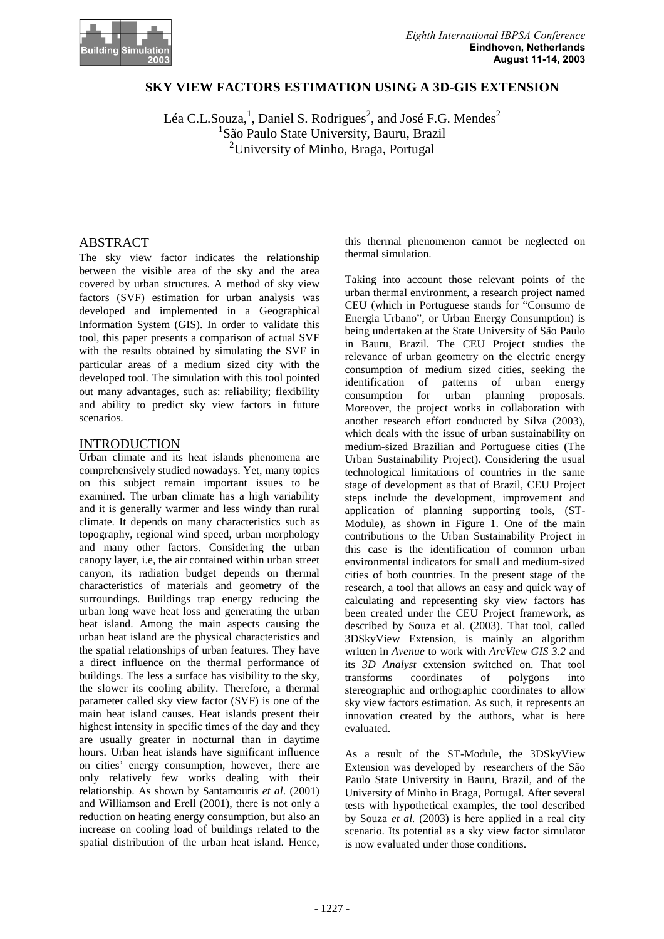

# **SKY VIEW FACTORS ESTIMATION USING A 3D-GIS EXTENSION**

Léa C.L.Souza,<sup>1</sup>, Daniel S. Rodrigues<sup>2</sup>, and José F.G. Mendes<sup>2</sup> <sup>1</sup> São Paulo State University, Bauru, Brazil <sup>2</sup>University of Minho, Braga, Portugal

## ABSTRACT

The sky view factor indicates the relationship between the visible area of the sky and the area covered by urban structures. A method of sky view factors (SVF) estimation for urban analysis was developed and implemented in a Geographical Information System (GIS). In order to validate this tool, this paper presents a comparison of actual SVF with the results obtained by simulating the SVF in particular areas of a medium sized city with the developed tool. The simulation with this tool pointed out many advantages, such as: reliability; flexibility and ability to predict sky view factors in future scenarios.

### INTRODUCTION

Urban climate and its heat islands phenomena are comprehensively studied nowadays. Yet, many topics on this subject remain important issues to be examined. The urban climate has a high variability and it is generally warmer and less windy than rural climate. It depends on many characteristics such as topography, regional wind speed, urban morphology and many other factors. Considering the urban canopy layer, i.e, the air contained within urban street canyon, its radiation budget depends on thermal characteristics of materials and geometry of the surroundings. Buildings trap energy reducing the urban long wave heat loss and generating the urban heat island. Among the main aspects causing the urban heat island are the physical characteristics and the spatial relationships of urban features. They have a direct influence on the thermal performance of buildings. The less a surface has visibility to the sky, the slower its cooling ability. Therefore, a thermal parameter called sky view factor (SVF) is one of the main heat island causes. Heat islands present their highest intensity in specific times of the day and they are usually greater in nocturnal than in daytime hours. Urban heat islands have significant influence on cities' energy consumption, however, there are only relatively few works dealing with their relationship. As shown by Santamouris *et al*. (2001) and Williamson and Erell (2001), there is not only a reduction on heating energy consumption, but also an increase on cooling load of buildings related to the spatial distribution of the urban heat island. Hence,

this thermal phenomenon cannot be neglected on thermal simulation.

Taking into account those relevant points of the urban thermal environment, a research project named CEU (which in Portuguese stands for "Consumo de Energia Urbano", or Urban Energy Consumption) is being undertaken at the State University of São Paulo in Bauru, Brazil. The CEU Project studies the relevance of urban geometry on the electric energy consumption of medium sized cities, seeking the identification of patterns of urban energy<br>consumption for urban planning proposals. consumption for urban planning Moreover, the project works in collaboration with another research effort conducted by Silva (2003), which deals with the issue of urban sustainability on medium-sized Brazilian and Portuguese cities (The Urban Sustainability Project). Considering the usual technological limitations of countries in the same stage of development as that of Brazil, CEU Project steps include the development, improvement and application of planning supporting tools, (ST-Module), as shown in Figure 1. One of the main contributions to the Urban Sustainability Project in this case is the identification of common urban environmental indicators for small and medium-sized cities of both countries. In the present stage of the research, a tool that allows an easy and quick way of calculating and representing sky view factors has been created under the CEU Project framework, as described by Souza et al. (2003). That tool, called 3DSkyView Extension, is mainly an algorithm written in *Avenue* to work with *ArcView GIS 3.2* and its *3D Analyst* extension switched on. That tool transforms coordinates of polygons into stereographic and orthographic coordinates to allow sky view factors estimation. As such, it represents an innovation created by the authors, what is here evaluated.

As a result of the ST-Module, the 3DSkyView Extension was developed by researchers of the São Paulo State University in Bauru, Brazil, and of the University of Minho in Braga, Portugal. After several tests with hypothetical examples, the tool described by Souza *et al.* (2003) is here applied in a real city scenario. Its potential as a sky view factor simulator is now evaluated under those conditions.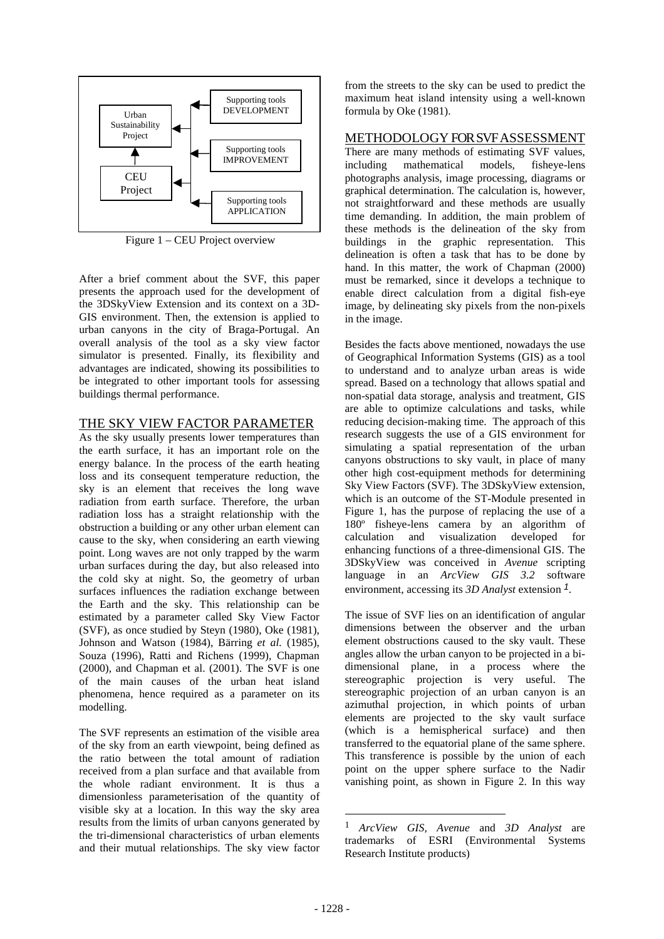

Figure 1 – CEU Project overview

After a brief comment about the SVF, this paper presents the approach used for the development of the 3DSkyView Extension and its context on a 3D-GIS environment. Then, the extension is applied to urban canyons in the city of Braga-Portugal. An overall analysis of the tool as a sky view factor simulator is presented. Finally, its flexibility and advantages are indicated, showing its possibilities to be integrated to other important tools for assessing buildings thermal performance.

# THE SKY VIEW FACTOR PARAMETER

As the sky usually presents lower temperatures than the earth surface, it has an important role on the energy balance. In the process of the earth heating loss and its consequent temperature reduction, the sky is an element that receives the long wave radiation from earth surface. Therefore, the urban radiation loss has a straight relationship with the obstruction a building or any other urban element can cause to the sky, when considering an earth viewing point. Long waves are not only trapped by the warm urban surfaces during the day, but also released into the cold sky at night. So, the geometry of urban surfaces influences the radiation exchange between the Earth and the sky. This relationship can be estimated by a parameter called Sky View Factor (SVF), as once studied by Steyn (1980), Oke (1981), Johnson and Watson (1984), Bärring *et al.* (1985), Souza (1996), Ratti and Richens (1999), Chapman (2000), and Chapman et al. (2001). The SVF is one of the main causes of the urban heat island phenomena, hence required as a parameter on its modelling.

The SVF represents an estimation of the visible area of the sky from an earth viewpoint, being defined as the ratio between the total amount of radiation received from a plan surface and that available from the whole radiant environment. It is thus a dimensionless parameterisation of the quantity of visible sky at a location. In this way the sky area results from the limits of urban canyons generated by the tri-dimensional characteristics of urban elements and their mutual relationships. The sky view factor

from the streets to the sky can be used to predict the maximum heat island intensity using a well-known formula by Oke (1981).

## METHODOLOGY FOR SVF ASSESSMENT

There are many methods of estimating SVF values, including mathematical models, fisheye-lens photographs analysis, image processing, diagrams or graphical determination. The calculation is, however, not straightforward and these methods are usually time demanding. In addition, the main problem of these methods is the delineation of the sky from buildings in the graphic representation. This delineation is often a task that has to be done by hand. In this matter, the work of Chapman (2000) must be remarked, since it develops a technique to enable direct calculation from a digital fish-eye image, by delineating sky pixels from the non-pixels in the image.

Besides the facts above mentioned, nowadays the use of Geographical Information Systems (GIS) as a tool to understand and to analyze urban areas is wide spread. Based on a technology that allows spatial and non-spatial data storage, analysis and treatment, GIS are able to optimize calculations and tasks, while reducing decision-making time. The approach of this research suggests the use of a GIS environment for simulating a spatial representation of the urban canyons obstructions to sky vault, in place of many other high cost-equipment methods for determining Sky View Factors (SVF). The 3DSkyView extension, which is an outcome of the ST-Module presented in Figure 1, has the purpose of replacing the use of a 180º fisheye-lens camera by an algorithm of calculation and visualization developed for enhancing functions of a three-dimensional GIS. The 3DSkyView was conceived in *Avenue* scripting language in an *ArcView GIS 3.2* software environment, accessing its *3D Analyst* extension *1*.

The issue of SVF lies on an identification of angular dimensions between the observer and the urban element obstructions caused to the sky vault. These angles allow the urban canyon to be projected in a bidimensional plane, in a process where the stereographic projection is very useful. The stereographic projection of an urban canyon is an azimuthal projection, in which points of urban elements are projected to the sky vault surface (which is a hemispherical surface) and then transferred to the equatorial plane of the same sphere. This transference is possible by the union of each point on the upper sphere surface to the Nadir vanishing point, as shown in Figure 2. In this way

l

<sup>1</sup> *ArcView GIS, Avenue* and *3D Analyst* are trademarks of ESRI (Environmental Systems Research Institute products)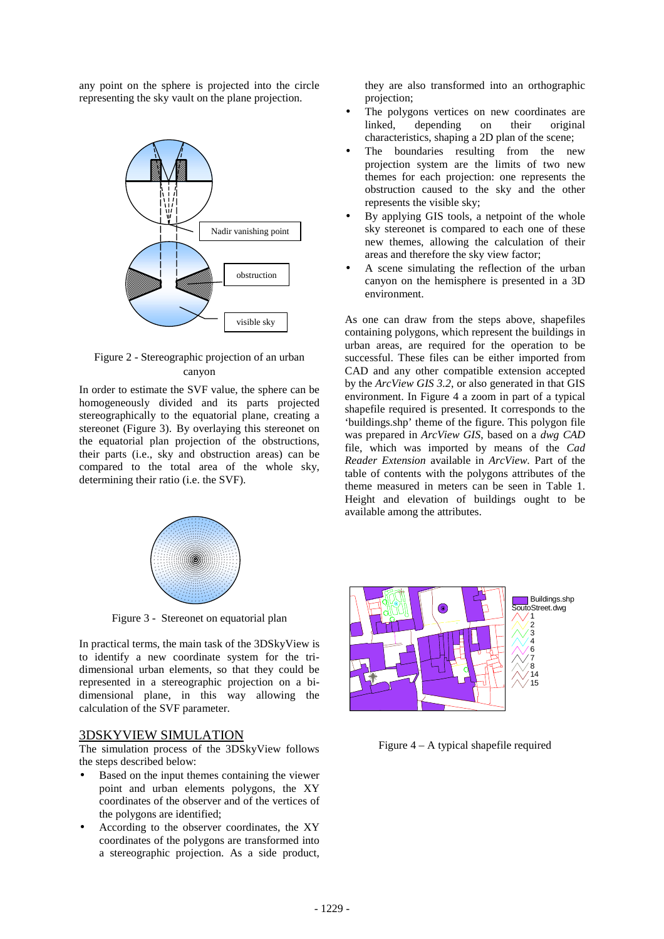any point on the sphere is projected into the circle representing the sky vault on the plane projection.





In order to estimate the SVF value, the sphere can be homogeneously divided and its parts projected stereographically to the equatorial plane, creating a stereonet (Figure 3). By overlaying this stereonet on the equatorial plan projection of the obstructions, their parts (i.e., sky and obstruction areas) can be compared to the total area of the whole sky, determining their ratio (i.e. the SVF).



Figure 3 - Stereonet on equatorial plan

In practical terms, the main task of the 3DSkyView is to identify a new coordinate system for the tridimensional urban elements, so that they could be represented in a stereographic projection on a bidimensional plane, in this way allowing the calculation of the SVF parameter.

#### 3DSKYVIEW SIMULATION

The simulation process of the 3DSkyView follows the steps described below:

- Based on the input themes containing the viewer point and urban elements polygons, the XY coordinates of the observer and of the vertices of the polygons are identified;
- According to the observer coordinates, the XY coordinates of the polygons are transformed into a stereographic projection. As a side product,

they are also transformed into an orthographic projection;

- The polygons vertices on new coordinates are linked, depending on their original characteristics, shaping a 2D plan of the scene;
- The boundaries resulting from the new projection system are the limits of two new themes for each projection: one represents the obstruction caused to the sky and the other represents the visible sky;
- By applying GIS tools, a netpoint of the whole sky stereonet is compared to each one of these new themes, allowing the calculation of their areas and therefore the sky view factor;
- A scene simulating the reflection of the urban canyon on the hemisphere is presented in a 3D environment.

As one can draw from the steps above, shapefiles containing polygons, which represent the buildings in urban areas, are required for the operation to be successful. These files can be either imported from CAD and any other compatible extension accepted by the *ArcView GIS 3.2*, or also generated in that GIS environment. In Figure 4 a zoom in part of a typical shapefile required is presented. It corresponds to the 'buildings.shp' theme of the figure. This polygon file was prepared in *ArcView GIS*, based on a *dwg CAD* file, which was imported by means of the *Cad Reader Extension* available in *ArcView*. Part of the table of contents with the polygons attributes of the theme measured in meters can be seen in Table 1. Height and elevation of buildings ought to be available among the attributes.



Figure  $4 - A$  typical shapefile required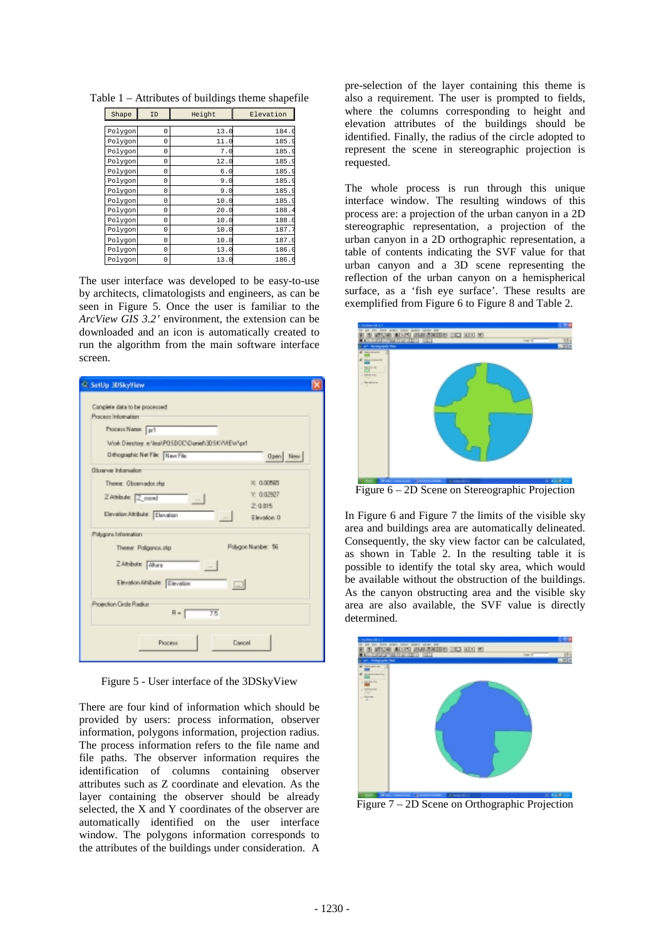| Shape   | ID | Height | Elevation |
|---------|----|--------|-----------|
|         |    |        |           |
| Polygon | 0  | 13.0   | 184.      |
| Polygon | 0  | 11.0   | 185.9     |
| Polygon | 0  | 7.0    | 185.      |
| Polygon | 0  | 12.0   | 185.      |
| Polygon | 0  | 6.0    | 185.      |
| Polygon | 0  | 9.0    | 185.      |
| Polygon | 0  | 9.0    | 185.9     |
| Polygon | 0  | 10.0   | 185.      |
| Polygon | 0  | 20.0   | 188.      |
| Polygon | 0  | 10.0   | 188.      |
| Polygon | 0  | 10.0   | 187.      |
| Polygon | 0  | 10.0   | 187.0     |
| Polygon | 0  | 13.0   | 186.0     |
| Polygon | 0  | 13.    | 186.6     |

Table 1 – Attributes of buildings theme shapefile

The user interface was developed to be easy-to-use by architects, climatologists and engineers, as can be seen in Figure 5. Once the user is familiar to the *ArcView GIS 3.2'* environment, the extension can be downloaded and an icon is automatically created to run the algorithm from the main software interface screen.

| C Settig 30SkyView                                                                                                                                                    |  |
|-----------------------------------------------------------------------------------------------------------------------------------------------------------------------|--|
| Camplete data to be processed:<br>Process Information<br>Process Name: pr1<br>Work. Directory: e: Neal-POSDOC\@anief\3DSKYVIEW*pr1<br>Drihographic Net File: New File |  |
| Open New<br><b>Observer Information</b>                                                                                                                               |  |
| Theme: Observador.shp<br>X: 0.00545<br>Y: 0.02927<br>ZAMbule: Z_coord<br>$\sim$<br>2:0.015<br>Elevation Afribute: Elevation<br>Elevation: 0                           |  |
| Palugons Information<br>Polsgon Number: 56<br>Theme: Poliganos.skp<br>ZARobske Akure<br>Elevation Attabute: Elevation<br>$\Box$                                       |  |
| Phojection Circle Riadium<br>$\overline{75}$<br>$H =$                                                                                                                 |  |
| Dancel<br>Рюсеев                                                                                                                                                      |  |

Figure 5 - User interface of the 3DSkyView

There are four kind of information which should be provided by users: process information, observer information, polygons information, projection radius. The process information refers to the file name and file paths. The observer information requires the identification of columns containing observer attributes such as Z coordinate and elevation. As the layer containing the observer should be already selected, the X and Y coordinates of the observer are automatically identified on the user interface window. The polygons information corresponds to the attributes of the buildings under consideration. A

pre-selection of the layer containing this theme is also a requirement. The user is prompted to fields, where the columns corresponding to height and elevation attributes of the buildings should be identified. Finally, the radius of the circle adopted to represent the scene in stereographic projection is requested.

The whole process is run through this unique interface window. The resulting windows of this process are: a projection of the urban canyon in a 2D stereographic representation, a projection of the urban canyon in a 2D orthographic representation, a table of contents indicating the SVF value for that urban canyon and a 3D scene representing the reflection of the urban canyon on a hemispherical surface, as a 'fish eye surface'. These results are exemplified from Figure 6 to Figure 8 and Table 2.



Figure 6 – 2D Scene on Stereographic Projection

In Figure 6 and Figure 7 the limits of the visible sky area and buildings area are automatically delineated. Consequently, the sky view factor can be calculated, as shown in Table 2. In the resulting table it is possible to identify the total sky area, which would be available without the obstruction of the buildings. As the canyon obstructing area and the visible sky area are also available, the SVF value is directly determined.



Figure 7 – 2D Scene on Orthographic Projection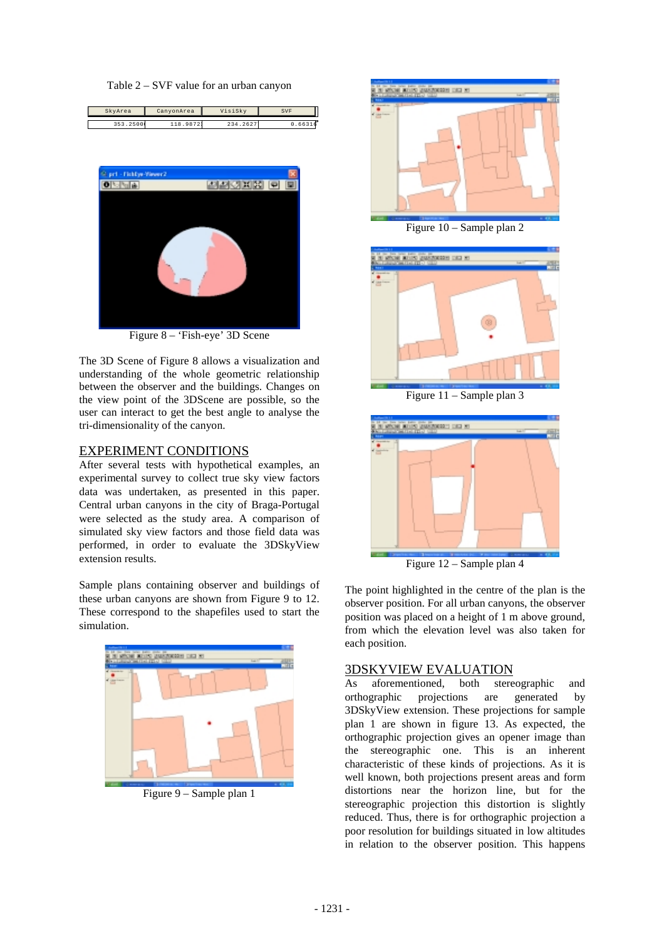Table 2 – SVF value for an urban canyon

| SkyArea | CanyonArea | VisiSkv | SVF |
|---------|------------|---------|-----|
|         |            |         |     |



Figure 8 – 'Fish-eye' 3D Scene

The 3D Scene of Figure 8 allows a visualization and understanding of the whole geometric relationship between the observer and the buildings. Changes on the view point of the 3DScene are possible, so the user can interact to get the best angle to analyse the tri-dimensionality of the canyon.

### EXPERIMENT CONDITIONS

After several tests with hypothetical examples, an experimental survey to collect true sky view factors data was undertaken, as presented in this paper. Central urban canyons in the city of Braga-Portugal were selected as the study area. A comparison of simulated sky view factors and those field data was performed, in order to evaluate the 3DSkyView extension results.

Sample plans containing observer and buildings of these urban canyons are shown from Figure 9 to 12. These correspond to the shapefiles used to start the simulation.



Figure 9 – Sample plan 1



Figure 10 – Sample plan 2



Figure 11 – Sample plan 3



Figure 12 – Sample plan 4

The point highlighted in the centre of the plan is the observer position. For all urban canyons, the observer position was placed on a height of 1 m above ground, from which the elevation level was also taken for each position.

# 3DSKYVIEW EVALUATION

As aforementioned, both stereographic and orthographic projections are generated by 3DSkyView extension. These projections for sample plan 1 are shown in figure 13. As expected, the orthographic projection gives an opener image than the stereographic one. This is an inherent characteristic of these kinds of projections. As it is well known, both projections present areas and form distortions near the horizon line, but for the stereographic projection this distortion is slightly reduced. Thus, there is for orthographic projection a poor resolution for buildings situated in low altitudes in relation to the observer position. This happens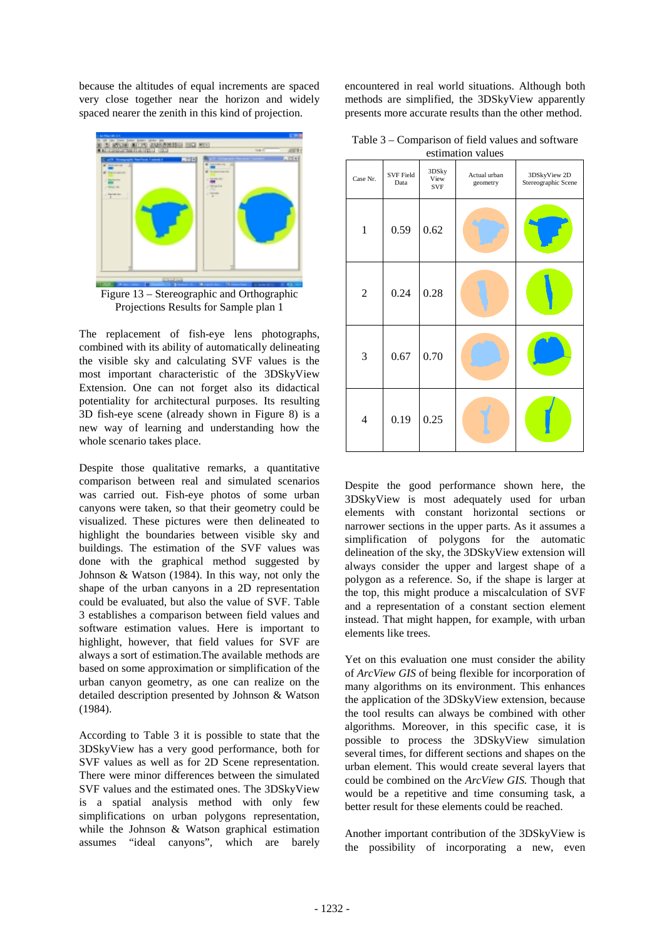because the altitudes of equal increments are spaced very close together near the horizon and widely spaced nearer the zenith in this kind of projection.



Projections Results for Sample plan 1

The replacement of fish-eye lens photographs, combined with its ability of automatically delineating the visible sky and calculating SVF values is the most important characteristic of the 3DSkyView Extension. One can not forget also its didactical potentiality for architectural purposes. Its resulting 3D fish-eye scene (already shown in Figure 8) is a new way of learning and understanding how the whole scenario takes place.

Despite those qualitative remarks, a quantitative comparison between real and simulated scenarios was carried out. Fish-eye photos of some urban canyons were taken, so that their geometry could be visualized. These pictures were then delineated to highlight the boundaries between visible sky and buildings. The estimation of the SVF values was done with the graphical method suggested by Johnson & Watson (1984). In this way, not only the shape of the urban canyons in a 2D representation could be evaluated, but also the value of SVF. Table 3 establishes a comparison between field values and software estimation values. Here is important to highlight, however, that field values for SVF are always a sort of estimation.The available methods are based on some approximation or simplification of the urban canyon geometry, as one can realize on the detailed description presented by Johnson & Watson (1984).

According to Table 3 it is possible to state that the 3DSkyView has a very good performance, both for SVF values as well as for 2D Scene representation. There were minor differences between the simulated SVF values and the estimated ones. The 3DSkyView is a spatial analysis method with only few simplifications on urban polygons representation, while the Johnson & Watson graphical estimation assumes "ideal canyons", which are barely

encountered in real world situations. Although both methods are simplified, the 3DSkyView apparently presents more accurate results than the other method.

Table 3 – Comparison of field values and software estimation values

| Case Nr.       | <b>SVF Field</b><br>Data | 3DSky<br>View<br><b>SVF</b> | ,,,,,,,,,,,,,,<br>,<br>Actual urban<br>geometry | 3DSkyView 2D<br>Stereographic Scene |
|----------------|--------------------------|-----------------------------|-------------------------------------------------|-------------------------------------|
| $\mathbf{1}$   | 0.59                     | 0.62                        |                                                 |                                     |
| $\overline{2}$ | 0.24                     | 0.28                        |                                                 |                                     |
| 3              | 0.67                     | 0.70                        |                                                 |                                     |
| 4              | 0.19                     | 0.25                        |                                                 |                                     |

Despite the good performance shown here, the 3DSkyView is most adequately used for urban elements with constant horizontal sections or narrower sections in the upper parts. As it assumes a simplification of polygons for the automatic delineation of the sky, the 3DSkyView extension will always consider the upper and largest shape of a polygon as a reference. So, if the shape is larger at the top, this might produce a miscalculation of SVF and a representation of a constant section element instead. That might happen, for example, with urban elements like trees.

Yet on this evaluation one must consider the ability of *ArcView GIS* of being flexible for incorporation of many algorithms on its environment. This enhances the application of the 3DSkyView extension, because the tool results can always be combined with other algorithms. Moreover, in this specific case, it is possible to process the 3DSkyView simulation several times, for different sections and shapes on the urban element. This would create several layers that could be combined on the *ArcView GIS.* Though that would be a repetitive and time consuming task, a better result for these elements could be reached.

Another important contribution of the 3DSkyView is the possibility of incorporating a new, even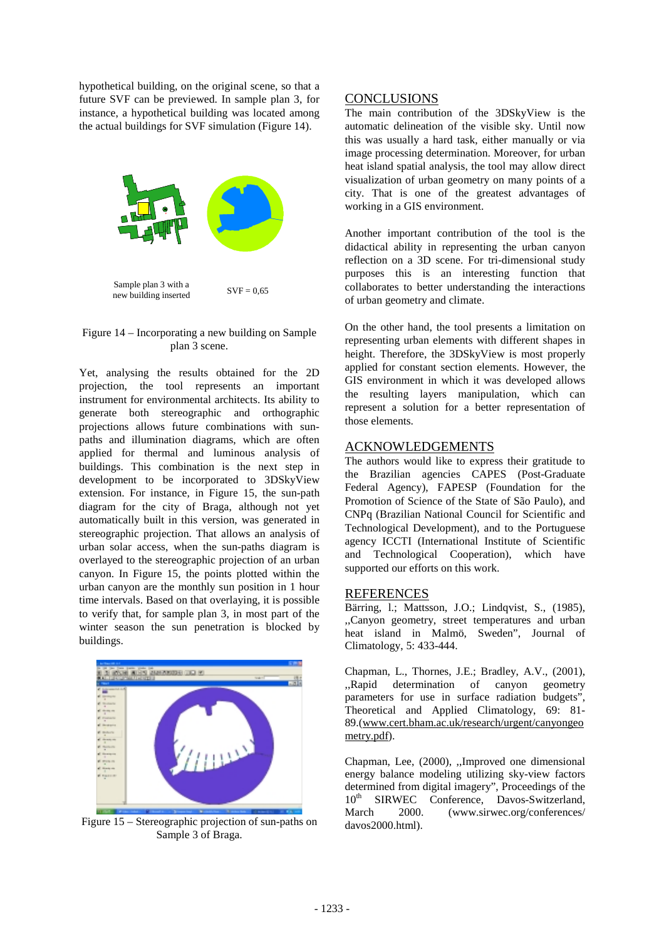hypothetical building, on the original scene, so that a future SVF can be previewed. In sample plan 3, for instance, a hypothetical building was located among the actual buildings for SVF simulation (Figure 14).



#### Figure 14 – Incorporating a new building on Sample plan 3 scene.

Yet, analysing the results obtained for the 2D projection, the tool represents an important instrument for environmental architects. Its ability to generate both stereographic and orthographic projections allows future combinations with sunpaths and illumination diagrams, which are often applied for thermal and luminous analysis of buildings. This combination is the next step in development to be incorporated to 3DSkyView extension. For instance, in Figure 15, the sun-path diagram for the city of Braga, although not yet automatically built in this version, was generated in stereographic projection. That allows an analysis of urban solar access, when the sun-paths diagram is overlayed to the stereographic projection of an urban canyon. In Figure 15, the points plotted within the urban canyon are the monthly sun position in 1 hour time intervals. Based on that overlaying, it is possible to verify that, for sample plan 3, in most part of the winter season the sun penetration is blocked by buildings.



Figure 15 – Stereographic projection of sun-paths on Sample 3 of Braga.

# **CONCLUSIONS**

The main contribution of the 3DSkyView is the automatic delineation of the visible sky. Until now this was usually a hard task, either manually or via image processing determination. Moreover, for urban heat island spatial analysis, the tool may allow direct visualization of urban geometry on many points of a city. That is one of the greatest advantages of working in a GIS environment.

Another important contribution of the tool is the didactical ability in representing the urban canyon reflection on a 3D scene. For tri-dimensional study purposes this is an interesting function that collaborates to better understanding the interactions of urban geometry and climate.

On the other hand, the tool presents a limitation on representing urban elements with different shapes in height. Therefore, the 3DSkyView is most properly applied for constant section elements. However, the GIS environment in which it was developed allows the resulting layers manipulation, which can represent a solution for a better representation of those elements.

## ACKNOWLEDGEMENTS

The authors would like to express their gratitude to the Brazilian agencies CAPES (Post-Graduate Federal Agency), FAPESP (Foundation for the Promotion of Science of the State of São Paulo), and CNPq (Brazilian National Council for Scientific and Technological Development), and to the Portuguese agency ICCTI (International Institute of Scientific and Technological Cooperation), which have supported our efforts on this work.

#### REFERENCES

Bärring, 1.; Mattsson, J.O.; Lindqvist, S., (1985), ,,Canyon geometry, street temperatures and urban heat island in Malmö, Sweden", Journal of Climatology, 5: 433-444.

Chapman, L., Thornes, J.E.; Bradley, A.V., (2001), ,,Rapid determination of canyon geometry parameters for use in surface radiation budgets", Theoretical and Applied Climatology, 69: 81- 89.(www.cert.bham.ac.uk/research/urgent/canyongeo metry.pdf).

Chapman, Lee, (2000), ,,Improved one dimensional energy balance modeling utilizing sky-view factors determined from digital imagery", Proceedings of the 10<sup>th</sup> SIRWEC Conference, Davos-Switzerland, March 2000. (www.sirwec.org/conferences/ davos2000.html).